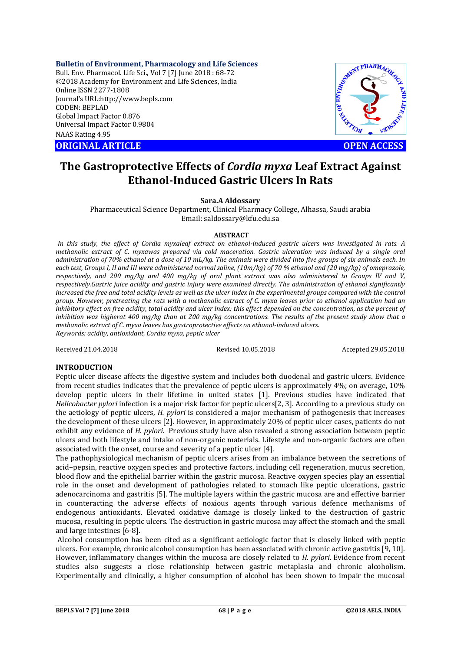**Bulletin of Environment, Pharmacology and Life Sciences**

Bull. Env. Pharmacol. Life Sci., Vol 7 [7] June 2018 : 68-72 ©2018 Academy for Environment and Life Sciences, India Online ISSN 2277-1808 Journal's URL:http://www.bepls.com CODEN: BEPLAD Global Impact Factor 0.876 Universal Impact Factor 0.9804 NAAS Rating 4.95

**ORIGINAL ARTICLE CONSUMING AND LOCAL CONSUMING A CONSUMING A CONSUMING A CONSUMING A CONSUMING A CONSUMING A CONSUMING A CONSUMING A CONSUMING A CONSUMING A CONSUMING A CONSUMING A CONSUMING A CONSUMING A CONSUMING A CONS** 



# **The Gastroprotective Effects of** *Cordia myxa* **Leaf Extract Against Ethanol-Induced Gastric Ulcers In Rats**

# **Sara.A Aldossary**

Pharmaceutical Science Department, Clinical Pharmacy College, Alhassa, Saudi arabia Email: saldossary@kfu.edu.sa

# **ABSTRACT**

*In this study, the effect of Cordia myxaleaf extract on ethanol-induced gastric ulcers was investigated in rats. A methanolic extract of C. myxawas prepared via cold maceration. Gastric ulceration was induced by a single oral administration of 70% ethanol at a dose of 10 mL/kg. The animals were divided into five groups of six animals each. In each test, Groups I, II and III were administered normal saline, (10m/kg) of 70 % ethanol and (20 mg/kg) of omeprazole, respectively, and 200 mg/kg and 400 mg/kg of oral plant extract was also administered to Groups IV and V, respectively.Gastric juice acidity and gastric injury were examined directly. The administration of ethanol significantly increased the free and total acidity levels as well as the ulcer index in the experimental groups compared with the control group. However, pretreating the rats with a methanolic extract of C. myxa leaves prior to ethanol application had an*  inhibitory effect on free acidity, total acidity and ulcer index; this effect depended on the concentration, as the percent of *inhibition was higherat 400 mg/kg than at 200 mg/kg concentrations. The results of the present study show that a methanolic extract of C. myxa leaves has gastroprotective effects on ethanol-induced ulcers. Keywords: acidity, antioxidant, Cordia myxa, peptic ulcer*

Received 21.04.2018 Revised 10.05.2018 Accepted 29.05.2018

# **INTRODUCTION**

Peptic ulcer disease affects the digestive system and includes both duodenal and gastric ulcers. Evidence from recent studies indicates that the prevalence of peptic ulcers is approximately 4%; on average, 10% develop peptic ulcers in their lifetime in united states [1]. Previous studies have indicated that *Helicobacter pylori* infection is a major risk factor for peptic ulcers[2, 3]. According to a previous study on the aetiology of peptic ulcers, *H. pylori* is considered a major mechanism of pathogenesis that increases the development of these ulcers [2]. However, in approximately 20% of peptic ulcer cases, patients do not exhibit any evidence of *H. pylori*. Previous study have also revealed a strong association between peptic ulcers and both lifestyle and intake of non-organic materials. Lifestyle and non-organic factors are often associated with the onset, course and severity of a peptic ulcer [4].

The pathophysiological mechanism of peptic ulcers arises from an imbalance between the secretions of acid–pepsin, reactive oxygen species and protective factors, including cell regeneration, mucus secretion, blood flow and the epithelial barrier within the gastric mucosa. Reactive oxygen species play an essential role in the onset and development of pathologies related to stomach like peptic ulcerations, gastric adenocarcinoma and gastritis [5]. The multiple layers within the gastric mucosa are and effective barrier in counteracting the adverse effects of noxious agents through various defence mechanisms of endogenous antioxidants. Elevated oxidative damage is closely linked to the destruction of gastric mucosa, resulting in peptic ulcers. The destruction in gastric mucosa may affect the stomach and the small and large intestines [6-8].

Alcohol consumption has been cited as a significant aetiologic factor that is closely linked with peptic ulcers. For example, chronic alcohol consumption has been associated with chronic active gastritis [9, 10]. However, inflammatory changes within the mucosa are closely related to *H. pylori*. Evidence from recent studies also suggests a close relationship between gastric metaplasia and chronic alcoholism. Experimentally and clinically, a higher consumption of alcohol has been shown to impair the mucosal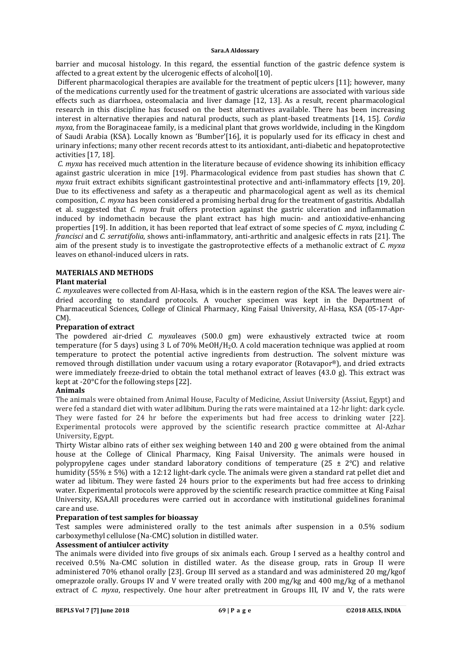barrier and mucosal histology. In this regard, the essential function of the gastric defence system is affected to a great extent by the ulcerogenic effects of alcohol[10].

Different pharmacological therapies are available for the treatment of peptic ulcers [11]; however, many of the medications currently used for the treatment of gastric ulcerations are associated with various side effects such as diarrhoea, osteomalacia and liver damage [12, 13]. As a result, recent pharmacological research in this discipline has focused on the best alternatives available. There has been increasing interest in alternative therapies and natural products, such as plant-based treatments [14, 15]. *Cordia myxa*, from the Boraginaceae family, is a medicinal plant that grows worldwide, including in the Kingdom of Saudi Arabia (KSA). Locally known as 'Bumber'[16], it is popularly used for its efficacy in chest and urinary infections; many other recent records attest to its antioxidant, anti-diabetic and hepatoprotective activities [17, 18].

*C. myxa* has received much attention in the literature because of evidence showing its inhibition efficacy against gastric ulceration in mice [19]. Pharmacological evidence from past studies has shown that *C. myxa* fruit extract exhibits significant gastrointestinal protective and anti-inflammatory effects [19, 20]. Due to its effectiveness and safety as a therapeutic and pharmacological agent as well as its chemical composition, *C. myxa* has been considered a promising herbal drug for the treatment of gastritis. Abdallah et al. suggested that *C. myxa* fruit offers protection against the gastric ulceration and inflammation induced by indomethacin because the plant extract has high mucin- and antioxidative-enhancing properties [19]. In addition, it has been reported that leaf extract of some species of *C. myxa*, including *C. francisci* and *C. serratifolia*, shows anti-inflammatory, anti-arthritic and analgesic effects in rats [21]. The aim of the present study is to investigate the gastroprotective effects of a methanolic extract of *C. myxa* leaves on ethanol-induced ulcers in rats.

# **MATERIALS AND METHODS**

# **Plant material**

*C. myxa*leaves were collected from Al-Hasa, which is in the eastern region of the KSA. The leaves were airdried according to standard protocols. A voucher specimen was kept in the Department of Pharmaceutical Sciences, College of Clinical Pharmacy, King Faisal University, Al-Hasa, KSA (05-17-Apr-CM).

# **Preparation of extract**

The powdered air-dried *C. myxa*leaves (500.0 gm) were exhaustively extracted twice at room temperature (for 5 days) using 3 L of 70% MeOH/H2O. A cold maceration technique was applied at room temperature to protect the potential active ingredients from destruction. The solvent mixture was removed through distillation under vacuum using a rotary evaporator (Rotavapor®), and dried extracts were immediately freeze-dried to obtain the total methanol extract of leaves (43.0 g). This extract was kept at -20°C for the following steps [22].

# **Animals**

The animals were obtained from Animal House, Faculty of Medicine, Assiut University (Assiut, Egypt) and were fed a standard diet with water ad libitum. During the rats were maintained at a 12-hr light: dark cycle. They were fasted for 24 hr before the experiments but had free access to drinking water [22]. Experimental protocols were approved by the scientific research practice committee at Al-Azhar University, Egypt.

Thirty Wistar albino rats of either sex weighing between 140 and 200 g were obtained from the animal house at the College of Clinical Pharmacy, King Faisal University. The animals were housed in polypropylene cages under standard laboratory conditions of temperature (25  $\pm$  2°C) and relative humidity (55% ± 5%) with a 12:12 light-dark cycle. The animals were given a standard rat pellet diet and water ad libitum. They were fasted 24 hours prior to the experiments but had free access to drinking water. Experimental protocols were approved by the scientific research practice committee at King Faisal University, KSA.All procedures were carried out in accordance with institutional guidelines foranimal care and use.

# **Preparation of test samples for bioassay**

Test samples were administered orally to the test animals after suspension in a 0.5% sodium carboxymethyl cellulose (Na-CMC) solution in distilled water.

# **Assessment of antiulcer activity**

The animals were divided into five groups of six animals each. Group I served as a healthy control and received 0.5% Na-CMC solution in distilled water. As the disease group, rats in Group II were administered 70% ethanol orally [23]. Group III served as a standard and was administered 20 mg/kgof omeprazole orally. Groups IV and V were treated orally with 200 mg/kg and 400 mg/kg of a methanol extract of *C. myxa*, respectively. One hour after pretreatment in Groups III, IV and V, the rats were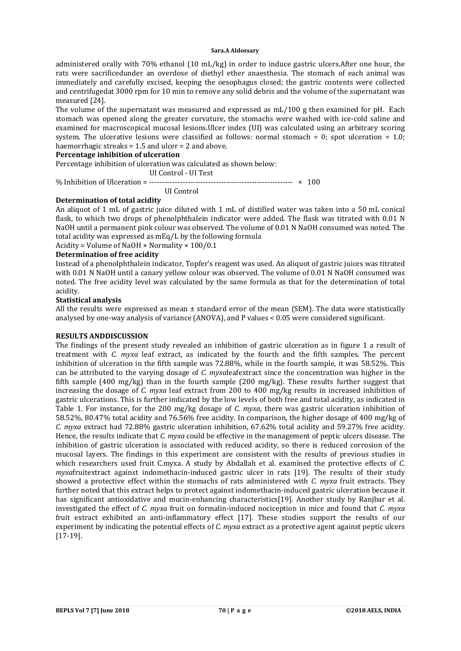administered orally with 70% ethanol (10 mL/kg) in order to induce gastric ulcers.After one hour, the rats were sacrificedunder an overdose of diethyl ether anaesthesia. The stomach of each animal was immediately and carefully excised, keeping the oesophagus closed; the gastric contents were collected and centrifugedat 3000 rpm for 10 min to remove any solid debris and the volume of the supernatant was measured [24].

The volume of the supernatant was measured and expressed as mL/100 g then examined for pH. Each stomach was opened along the greater curvature, the stomachs were washed with ice-cold saline and examined for macroscopical mucosal lesions.Ulcer index (UI) was calculated using an arbitrary scoring system. The ulcerative lesions were classified as follows: normal stomach = 0; spot ulceration = 1.0; haemorrhagic streaks = 1.5 and ulcer = 2 and above.

### **Percentage inhibition of ulceration**

Percentage inhibition of ulceration was calculated as shown below:

UI Control - UI Test

% Inhibition of Ulceration = -------------------------------------------------------- × 100

UI Control

# **Determination of total acidity**

An aliquot of 1 mL of gastric juice diluted with 1 mL of distilled water was taken into a 50 mL conical flask, to which two drops of phenolphthalein indicator were added. The flask was titrated with 0.01 N NaOH until a permanent pink colour was observed. The volume of 0.01 N NaOH consumed was noted. The total acidity was expressed as mEq/L by the following formula

Acidity = Volume of NaOH × Normality × 100/0.1

# **Determination of free acidity**

Instead of a phenolphthalein indicator, Topfer's reagent was used. An aliquot of gastric juices was titrated with 0.01 N NaOH until a canary yellow colour was observed. The volume of 0.01 N NaOH consumed was noted. The free acidity level was calculated by the same formula as that for the determination of total acidity.

# **Statistical analysis**

All the results were expressed as mean  $\pm$  standard error of the mean (SEM). The data were statistically analysed by one-way analysis of variance (ANOVA), and P values < 0.05 were considered significant.

# **RESULTS ANDDISCUSSION**

The findings of the present study revealed an inhibition of gastric ulceration as in figure 1 a result of treatment with *C. myxa* leaf extract, as indicated by the fourth and the fifth samples. The percent inhibition of ulceration in the fifth sample was 72.88%, while in the fourth sample, it was 58.52%. This can be attributed to the varying dosage of *C. myxa*leafextract since the concentration was higher in the fifth sample (400 mg/kg) than in the fourth sample (200 mg/kg). These results further suggest that increasing the dosage of *C. myxa* leaf extract from 200 to 400 mg/kg results in increased inhibition of gastric ulcerations. This is further indicated by the low levels of both free and total acidity, as indicated in Table 1. For instance, for the 200 mg/kg dosage of *C. myxa*, there was gastric ulceration inhibition of 58.52%, 80.47% total acidity and 76.56% free acidity. In comparison, the higher dosage of 400 mg/kg of *C. myxa* extract had 72.88% gastric ulceration inhibition, 67.62% total acidity and 59.27% free acidity. Hence, the results indicate that *C. myxa* could be effective in the management of peptic ulcers disease. The inhibition of gastric ulceration is associated with reduced acidity, so there is reduced corrosion of the mucosal layers. The findings in this experiment are consistent with the results of previous studies in which researchers used fruit C.myxa. A study by Abdallah et al. examined the protective effects of *C. myxa*fruitextract against indomethacin-induced gastric ulcer in rats [19]. The results of their study showed a protective effect within the stomachs of rats administered with *C. myxa* fruit extracts. They further noted that this extract helps to protect against indomethacin-induced gastric ulceration because it has significant antioxidative and mucin-enhancing characteristics[19]. Another study by Ranjbar et al. investigated the effect of *C. myxa* fruit on formalin-induced nociception in mice and found that *C. myxa* fruit extract exhibited an anti-inflammatory effect [17]. These studies support the results of our experiment by indicating the potential effects of *C. myxa* extract as a protective agent against peptic ulcers [17-19].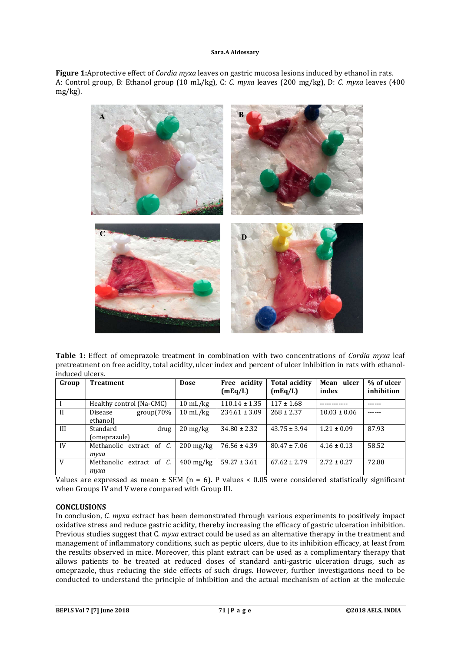**Figure 1:**Aprotective effect of *Cordia myxa* leaves on gastric mucosa lesions induced by ethanol in rats. A: Control group, B: Ethanol group (10 mL/kg), C: *C. myxa* leaves (200 mg/kg), D: *C. myxa* leaves (400 mg/kg).



**Table 1:** Effect of omeprazole treatment in combination with two concentrations of *Cordia myxa* leaf pretreatment on free acidity, total acidity, ulcer index and percent of ulcer inhibition in rats with ethanolinduced ulcers.

| Group        | <b>Treatment</b>                    | Dose                             | Free acidity<br>(mEq/L) | Total acidity<br>(mEq/L) | Mean ulcer<br>index | % of ulcer<br>inhibition |
|--------------|-------------------------------------|----------------------------------|-------------------------|--------------------------|---------------------|--------------------------|
|              | Healthy control (Na-CMC)            | $10 \text{ mL/kg}$               | $110.14 \pm 1.35$       | $117 \pm 1.68$           |                     |                          |
| $\mathbf{H}$ | $group(70\%$<br>Disease<br>ethanol) | $10 \text{ mL/kg}$               | $234.61 \pm 3.09$       | $268 \pm 2.37$           | $10.03 \pm 0.06$    |                          |
| III          | Standard<br>drug<br>(omeprazole)    | $20 \frac{\text{mg}}{\text{kg}}$ | $34.80 \pm 2.32$        | $43.75 \pm 3.94$         | $1.21 \pm 0.09$     | 87.93                    |
| IV           | Methanolic extract of C.<br>түха    | $200 \,\mathrm{mg/kg}$           | $76.56 \pm 4.39$        | $80.47 \pm 7.06$         | $4.16 \pm 0.13$     | 58.52                    |
| V            | Methanolic extract of C.<br>туха    | $400 \,\mathrm{mg/kg}$           | $59.27 \pm 3.61$        | $67.62 \pm 2.79$         | $2.72 \pm 0.27$     | 72.88                    |

Values are expressed as mean  $\pm$  SEM (n = 6). P values < 0.05 were considered statistically significant when Groups IV and V were compared with Group III.

# **CONCLUSIONS**

In conclusion, *C. myxa* extract has been demonstrated through various experiments to positively impact oxidative stress and reduce gastric acidity, thereby increasing the efficacy of gastric ulceration inhibition. Previous studies suggest that C*. myxa* extract could be used as an alternative therapy in the treatment and management of inflammatory conditions, such as peptic ulcers, due to its inhibition efficacy, at least from the results observed in mice. Moreover, this plant extract can be used as a complimentary therapy that allows patients to be treated at reduced doses of standard anti-gastric ulceration drugs, such as omeprazole, thus reducing the side effects of such drugs. However, further investigations need to be conducted to understand the principle of inhibition and the actual mechanism of action at the molecule